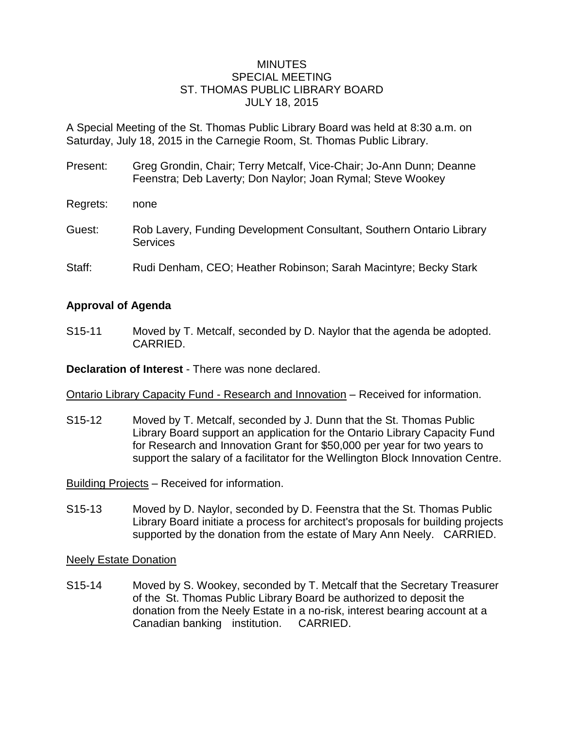## MINUTES SPECIAL MEETING ST. THOMAS PUBLIC LIBRARY BOARD JULY 18, 2015

A Special Meeting of the St. Thomas Public Library Board was held at 8:30 a.m. on Saturday, July 18, 2015 in the Carnegie Room, St. Thomas Public Library.

- Present: Greg Grondin, Chair; Terry Metcalf, Vice-Chair; Jo-Ann Dunn; Deanne Feenstra; Deb Laverty; Don Naylor; Joan Rymal; Steve Wookey Regrets: none
- Guest: Rob Lavery, Funding Development Consultant, Southern Ontario Library **Services**
- Staff: Rudi Denham, CEO; Heather Robinson; Sarah Macintyre; Becky Stark

## **Approval of Agenda**

S15-11 Moved by T. Metcalf, seconded by D. Naylor that the agenda be adopted. CARRIED.

**Declaration of Interest** - There was none declared.

Ontario Library Capacity Fund - Research and Innovation – Received for information.

S15-12 Moved by T. Metcalf, seconded by J. Dunn that the St. Thomas Public Library Board support an application for the Ontario Library Capacity Fund for Research and Innovation Grant for \$50,000 per year for two years to support the salary of a facilitator for the Wellington Block Innovation Centre.

Building Projects – Received for information.

S15-13 Moved by D. Naylor, seconded by D. Feenstra that the St. Thomas Public Library Board initiate a process for architect's proposals for building projects supported by the donation from the estate of Mary Ann Neely. CARRIED.

Neely Estate Donation

S15-14 Moved by S. Wookey, seconded by T. Metcalf that the Secretary Treasurer of the St. Thomas Public Library Board be authorized to deposit the donation from the Neely Estate in a no-risk, interest bearing account at a Canadian banking institution. CARRIED.